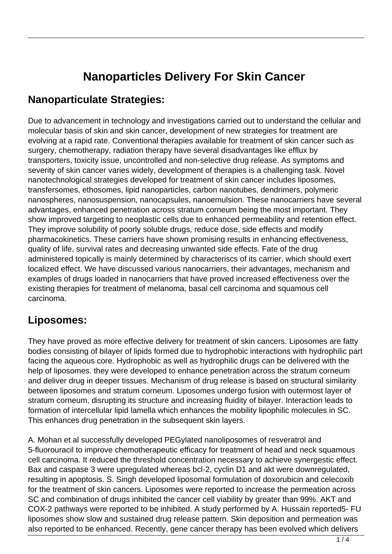# **Nanoparticles Delivery For Skin Cancer**

#### **Nanoparticulate Strategies:**

Due to advancement in technology and investigations carried out to understand the cellular and molecular basis of skin and skin cancer, development of new strategies for treatment are evolving at a rapid rate. Conventional therapies available for treatment of skin cancer such as surgery, chemotherapy, radiation therapy have several disadvantages like efflux by transporters, toxicity issue, uncontrolled and non-selective drug release. As symptoms and severity of skin cancer varies widely, development of therapies is a challenging task. Novel nanotechnological strategies developed for treatment of skin cancer includes liposomes, transfersomes, ethosomes, lipid nanoparticles, carbon nanotubes, dendrimers, polymeric nanospheres, nanosuspension, nanocapsules, nanoemulsion. These nanocarriers have several advantages, enhanced penetration across stratum corneum being the most important. They show improved targeting to neoplastic cells due to enhanced permeability and retention effect. They improve solubility of poorly soluble drugs, reduce dose, side effects and modify pharmacokinetics. These carriers have shown promising results in enhancing effectiveness, quality of life, survival rates and decreasing unwanted side effects. Fate of the drug administered topically is mainly determined by characteriscs of its carrier, which should exert localized effect. We have discussed various nanocarriers, their advantages, mechanism and examples of drugs loaded in nanocarriers that have proved increased effectiveness over the existing therapies for treatment of melanoma, basal cell carcinoma and squamous cell carcinoma.

## **Liposomes:**

They have proved as more effective delivery for treatment of skin cancers. Liposomes are fatty bodies consisting of bilayer of lipids formed due to hydrophobic interactions with hydrophilic part facing the aqueous core. Hydrophobic as well as hydrophilic drugs can be delivered with the help of liposomes. they were developed to enhance penetration across the stratum corneum and deliver drug in deeper tissues. Mechanism of drug release is based on structural similarity between liposomes and stratum corneum. Liposomes undergo fusion with outermost layer of stratum corneum, disrupting its structure and increasing fluidity of bilayer. Interaction leads to formation of intercellular lipid lamella which enhances the mobility lipophilic molecules in SC. This enhances drug penetration in the subsequent skin layers.

A. Mohan et al successfully developed PEGylated nanoliposomes of resveratrol and 5-fluorouracil to improve chemotherapeutic efficacy for treatment of head and neck squamous cell carcinoma. It reduced the threshold concentration necessary to achieve synergestic effect. Bax and caspase 3 were upregulated whereas bcl-2, cyclin D1 and akt were downregulated, resulting in apoptosis. S. Singh developed liposomal formulation of doxorubicin and celecoxib for the treatment of skin cancers. Liposomes were reported to increase the permeation across SC and combination of drugs inhibited the cancer cell viability by greater than 99%. AKT and COX-2 pathways were reported to be inhibited. A study performed by A. Hussain reported5- FU liposomes show slow and sustained drug release pattern. Skin deposition and permeation was also reported to be enhanced. Recently, gene cancer therapy has been evolved which delivers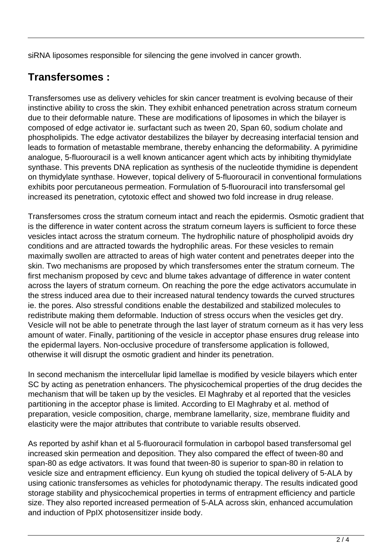siRNA liposomes responsible for silencing the gene involved in cancer growth.

## **Transfersomes :**

Transfersomes use as delivery vehicles for skin cancer treatment is evolving because of their instinctive ability to cross the skin. They exhibit enhanced penetration across stratum corneum due to their deformable nature. These are modifications of liposomes in which the bilayer is composed of edge activator ie. surfactant such as tween 20, Span 60, sodium cholate and phospholipids. The edge activator destabilizes the bilayer by decreasing interfacial tension and leads to formation of metastable membrane, thereby enhancing the deformability. A pyrimidine analogue, 5-fluorouracil is a well known anticancer agent which acts by inhibiting thymidylate synthase. This prevents DNA replication as synthesis of the nucleotide thymidine is dependent on thymidylate synthase. However, topical delivery of 5-fluorouracil in conventional formulations exhibits poor percutaneous permeation. Formulation of 5-fluorouracil into transfersomal gel increased its penetration, cytotoxic effect and showed two fold increase in drug release.

Transfersomes cross the stratum corneum intact and reach the epidermis. Osmotic gradient that is the difference in water content across the stratum corneum layers is sufficient to force these vesicles intact across the stratum corneum. The hydrophilic nature of phospholipid avoids dry conditions and are attracted towards the hydrophilic areas. For these vesicles to remain maximally swollen are attracted to areas of high water content and penetrates deeper into the skin. Two mechanisms are proposed by which transfersomes enter the stratum corneum. The first mechanism proposed by cevc and blume takes advantage of difference in water content across the layers of stratum corneum. On reaching the pore the edge activators accumulate in the stress induced area due to their increased natural tendency towards the curved structures ie. the pores. Also stressful conditions enable the destabilized and stabilized molecules to redistribute making them deformable. Induction of stress occurs when the vesicles get dry. Vesicle will not be able to penetrate through the last layer of stratum corneum as it has very less amount of water. Finally, partitioning of the vesicle in acceptor phase ensures drug release into the epidermal layers. Non-occlusive procedure of transfersome application is followed, otherwise it will disrupt the osmotic gradient and hinder its penetration.

In second mechanism the intercellular lipid lamellae is modified by vesicle bilayers which enter SC by acting as penetration enhancers. The physicochemical properties of the drug decides the mechanism that will be taken up by the vesicles. El Maghraby et al reported that the vesicles partitioning in the acceptor phase is limited. According to El Maghraby et al. method of preparation, vesicle composition, charge, membrane lamellarity, size, membrane fluidity and elasticity were the major attributes that contribute to variable results observed.

As reported by ashif khan et al 5-fluorouracil formulation in carbopol based transfersomal gel increased skin permeation and deposition. They also compared the effect of tween-80 and span-80 as edge activators. It was found that tween-80 is superior to span-80 in relation to vesicle size and entrapment efficiency. Eun kyung oh studied the topical delivery of 5-ALA by using cationic transfersomes as vehicles for photodynamic therapy. The results indicated good storage stability and physicochemical properties in terms of entrapment efficiency and particle size. They also reported increased permeation of 5-ALA across skin, enhanced accumulation and induction of PpIX photosensitizer inside body.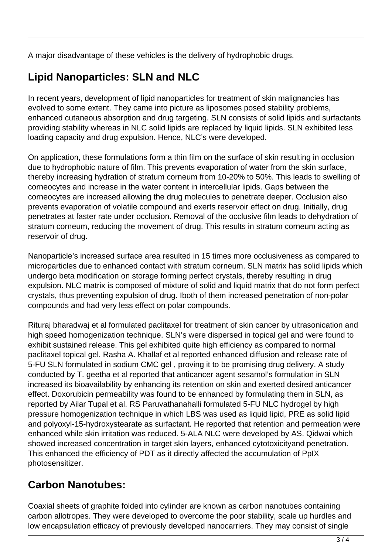A major disadvantage of these vehicles is the delivery of hydrophobic drugs.

## **Lipid Nanoparticles: SLN and NLC**

In recent years, development of lipid nanoparticles for treatment of skin malignancies has evolved to some extent. They came into picture as liposomes posed stability problems, enhanced cutaneous absorption and drug targeting. SLN consists of solid lipids and surfactants providing stability whereas in NLC solid lipids are replaced by liquid lipids. SLN exhibited less loading capacity and drug expulsion. Hence, NLC's were developed.

On application, these formulations form a thin film on the surface of skin resulting in occlusion due to hydrophobic nature of film. This prevents evaporation of water from the skin surface, thereby increasing hydration of stratum corneum from 10-20% to 50%. This leads to swelling of corneocytes and increase in the water content in intercellular lipids. Gaps between the corneocytes are increased allowing the drug molecules to penetrate deeper. Occlusion also prevents evaporation of volatile compound and exerts reservoir effect on drug. Initially, drug penetrates at faster rate under occlusion. Removal of the occlusive film leads to dehydration of stratum corneum, reducing the movement of drug. This results in stratum corneum acting as reservoir of drug.

Nanoparticle's increased surface area resulted in 15 times more occlusiveness as compared to microparticles due to enhanced contact with stratum corneum. SLN matrix has solid lipids which undergo beta modification on storage forming perfect crystals, thereby resulting in drug expulsion. NLC matrix is composed of mixture of solid and liquid matrix that do not form perfect crystals, thus preventing expulsion of drug. Iboth of them increased penetration of non-polar compounds and had very less effect on polar compounds.

Rituraj bharadwaj et al formulated paclitaxel for treatment of skin cancer by ultrasonication and high speed homogenization technique. SLN's were dispersed in topical gel and were found to exhibit sustained release. This gel exhibited quite high efficiency as compared to normal paclitaxel topical gel. Rasha A. Khallaf et al reported enhanced diffusion and release rate of 5-FU SLN formulated in sodium CMC gel , proving it to be promising drug delivery. A study conducted by T. geetha et al reported that anticancer agent sesamol's formulation in SLN increased its bioavailability by enhancing its retention on skin and exerted desired anticancer effect. Doxorubicin permeability was found to be enhanced by formulating them in SLN, as reported by Ailar Tupal et al. RS Paruvathanahalli formulated 5-FU NLC hydrogel by high pressure homogenization technique in which LBS was used as liquid lipid, PRE as solid lipid and polyoxyl-15-hydroxystearate as surfactant. He reported that retention and permeation were enhanced while skin irritation was reduced. 5-ALA NLC were developed by AS. Qidwai which showed increased concentration in target skin layers, enhanced cytotoxicityand penetration. This enhanced the efficiency of PDT as it directly affected the accumulation of PpIX photosensitizer.

## **Carbon Nanotubes:**

Coaxial sheets of graphite folded into cylinder are known as carbon nanotubes containing carbon allotropes. They were developed to overcome the poor stability, scale up hurdles and low encapsulation efficacy of previously developed nanocarriers. They may consist of single